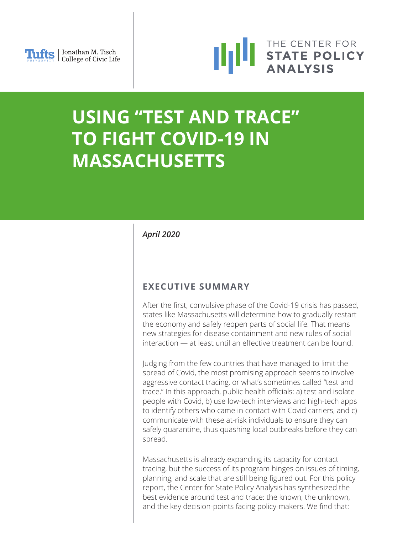



# **USING "TEST AND TRACE" TO FIGHT COVID-19 IN MASSACHUSETTS**

*April 2020*

### **EXECUTIVE SUMMARY**

After the first, convulsive phase of the Covid-19 crisis has passed, states like Massachusetts will determine how to gradually restart the economy and safely reopen parts of social life. That means new strategies for disease containment and new rules of social interaction — at least until an effective treatment can be found.

Judging from the few countries that have managed to limit the spread of Covid, the most promising approach seems to involve aggressive contact tracing, or what's sometimes called "test and trace." In this approach, public health officials: a) test and isolate people with Covid, b) use low-tech interviews and high-tech apps to identify others who came in contact with Covid carriers, and c) communicate with these at-risk individuals to ensure they can safely quarantine, thus quashing local outbreaks before they can spread.

Massachusetts is already expanding its capacity for contact tracing, but the success of its program hinges on issues of timing, planning, and scale that are still being figured out. For this policy report, the Center for State Policy Analysis has synthesized the best evidence around test and trace: the known, the unknown, and the key decision-points facing policy-makers. We find that: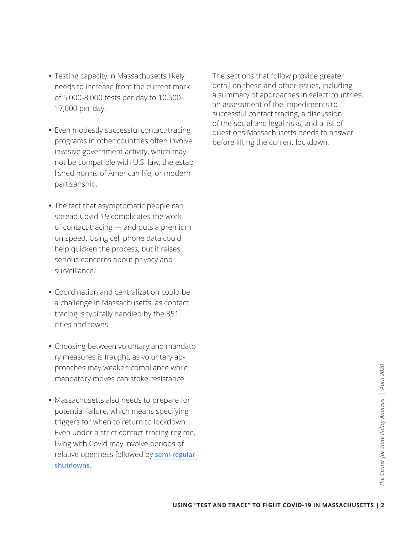- Testing capacity in Massachusetts likely needs to increase from the current mark of 5,000-8,000 tests per day to 10,500- 17,000 per day.
- Even modestly successful contact-tracing programs in other countries often involve invasive government activity, which may not be compatible with U.S. law, the established norms of American life, or modern partisanship.
- The fact that asymptomatic people can spread Covid-19 complicates the work of contact tracing — and puts a premium on speed. Using cell phone data could help quicken the process, but it raises serious concerns about privacy and surveillance.
- Coordination and centralization could be a challenge in Massachusetts, as contact tracing is typically handled by the 351 cities and towns.
- Choosing between voluntary and mandatory measures is fraught, as voluntary approaches may weaken compliance while mandatory moves can stoke resistance.
- While<br>
mce.<br>
re for<br>
fying<br>
USING "TEST AND TRACE" TO FIGHT COVID-19 IN MASSACHUSETTS | 2<br>
USING "TEST AND TRACE" TO FIGHT COVID-19 IN MASSACHUSETTS | 2<br>
VERING "TEST AND TRACE" TO FIGHT COVID-19 IN MASSACHUSETTS | 2 Massachusetts also needs to prepare for potential failure, which means specifying triggers for when to return to lockdown. Even under a strict contact-tracing regime, living with Covid may involve periods of relative openness followed by **[semi-regular](https://science.sciencemag.org/content/early/2020/04/14/science.abb5793)  [shutdowns.](https://science.sciencemag.org/content/early/2020/04/14/science.abb5793)**

The sections that follow provide greater detail on these and other issues, including a summary of approaches in select countries, an assessment of the impediments to successful contact tracing, a discussion of the social and legal risks, and a list of questions Massachusetts needs to answer before lifting the current lockdown.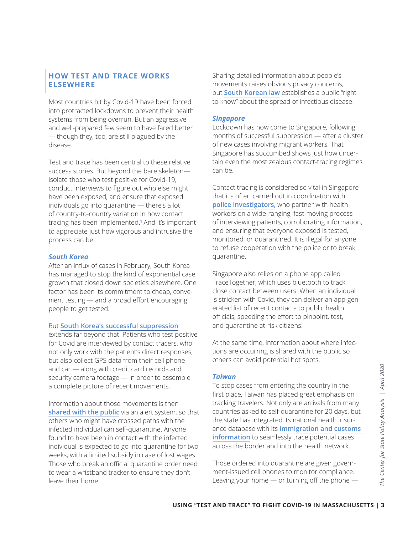#### **HOW TEST AND TRACE WORKS ELSEWHERE**

Most countries hit by Covid-19 have been forced into protracted lockdowns to prevent their health systems from being overrun. But an aggressive and well-prepared few seem to have fared better — though they, too, are still plagued by the disease.

Test and trace has been central to these relative success stories. But beyond the bare skeleton isolate those who test positive for Covid-19, conduct interviews to figure out who else might have been exposed, and ensure that exposed individuals go into quarantine — there's a lot of country-to-country variation in how contact tracing has been implemented.<sup>1</sup> And it's important to appreciate just how vigorous and intrusive the process can be.

#### *South Korea*

After an influx of cases in February, South Korea has managed to stop the kind of exponential case growth that closed down societies elsewhere. One factor has been its commitment to cheap, convenient testing — and a broad effort encouraging people to get tested.

#### But **[South Korea's successful suppression](https://www.nytimes.com/2020/03/23/world/asia/coronavirus-south-korea-flatten-curve.html)**

extends far beyond that. Patients who test positive for Covid are interviewed by contact tracers, who not only work with the patient's direct responses, but also collect GPS data from their cell phone and car — along with credit card records and security camera footage — in order to assemble a complete picture of recent movements.

Information about those movements is then **[shared with the public](https://www.technologyreview.com/2020/03/06/905459/coronavirus-south-korea-smartphone-app-quarantine/)** via an alert system, so that others who might have crossed paths with the infected individual can self-quarantine. Anyone found to have been in contact with the infected individual is expected to go into quarantine for two weeks, with a limited subsidy in case of lost wages. Those who break an official quarantine order need to wear a wristband tracker to ensure they don't leave their home.

Sharing detailed information about people's movements raises obvious privacy concerns, but **[South Korean law](https://www.lawfareblog.com/lessons-america-how-south-korean-authorities-used-law-fight-coronavirus)** establishes a public "right to know" about the spread of infectious disease.

#### *Singapore*

Lockdown has now come to Singapore, following months of successful suppression — after a cluster of new cases involving migrant workers. That Singapore has succumbed shows just how uncertain even the most zealous contact-tracing regimes can be.

Contact tracing is considered so vital in Singapore that it's often carried out in coordination with **[police investigators,](https://www.bbc.com/news/world-asia-51866102)** who partner with health workers on a wide-ranging, fast-moving process of interviewing patients, corroborating information, and ensuring that everyone exposed is tested, monitored, or quarantined. It is illegal for anyone to refuse cooperation with the police or to break quarantine.

Singapore also relies on a phone app called TraceTogether, which uses bluetooth to track close contact between users. When an individual is stricken with Covid, they can deliver an app-generated list of recent contacts to public health officials, speeding the effort to pinpoint, test, and quarantine at-risk citizens.

At the same time, information about where infections are occurring is shared with the public so others can avoid potential hot spots.

#### *Taiwan*

**USING "TEST AND TRACE" TO FIGHT COVID-19 IN MASSACHUSETTS | 3<br>
USING "TEST AND TRACE" TO FIGHT COVID-19 IN MASSACHUSETTS | 3<br>
USING "TEST AND TRACE" TO FIGHT COVID-19 IN MASSACHUSETTS | 3<br>
2<br>
2<br>
2<br>
2<br>
2<br>
2<br>
2<br>
2<br>
2<br>
2<br>
2<br>** To stop cases from entering the country in the first place, Taiwan has placed great emphasis on tracking travelers. Not only are arrivals from many countries asked to self-quarantine for 20 days, but the state has integrated its national health insurance database with its **[immigration and customs](https://www.nytimes.com/2020/03/17/world/asia/coronavirus-singapore-hong-kong-taiwan.html)  [information](https://www.nytimes.com/2020/03/17/world/asia/coronavirus-singapore-hong-kong-taiwan.html)** to seamlessly trace potential cases across the border and into the health network.

Those ordered into quarantine are given government-issued cell phones to monitor compliance. Leaving your home — or turning off the phone —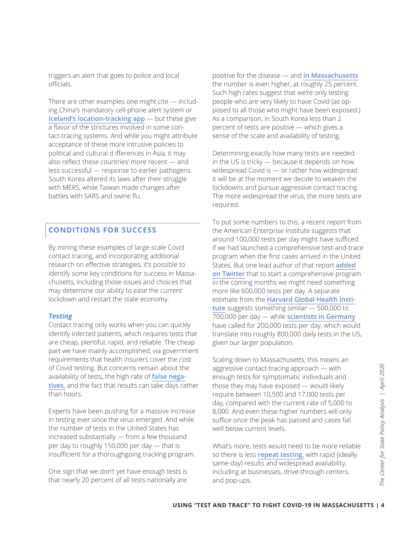triggers an alert that goes to police and local officials.

There are other examples one might cite  $-$  including China's mandatory cell-phone alert system or **[Iceland's location-tracking app](https://icelandmonitor.mbl.is/news/news/2020/04/01/covid_19_tracing_app_to_be_launched_soon/)** — but these give a flavor of the strictures involved in some contact-tracing systems. And while you might attribute acceptance of these more intrusive policies to political and cultural d ifferences in Asia, it may also reflect these countries' more recent — and less successful — response to earlier pathogens. South Korea altered its laws after their struggle with MERS, while Taiwan made changes after battles with SARS and swine flu.

### **CONDITIONS FOR SUCCESS**

By mining these examples of large-scale Covid contact tracing, and incorporating additional research on effective strategies, it's possible to identify some key conditions for success in Massachusetts, including those issues and choices that may determine our ability to ease the current lockdown and restart the state economy.

#### *Testing*

Contact tracing only works when you can quickly identify infected patients, which requires tests that are cheap, plentiful, rapid, and reliable. The cheap part we have mainly accomplished, via government requirements that health insurers cover the cost of Covid testing. But concerns remain about the availability of tests, the high rate of **[false nega](https://www.bloomberg.com/news/articles/2020-04-11/false-negative-coronavirus-test-results-raise-doctors-doubts)[tives,](https://www.bloomberg.com/news/articles/2020-04-11/false-negative-coronavirus-test-results-raise-doctors-doubts)** and the fact that results can take days rather than hours.

Experts have been pushing for a massive increase in testing ever since the virus emerged. And while the number of tests in the United States has increased substantially — from a few thousand per day to roughly 150,000 per day — that is insufficient for a thoroughgoing tracking program.

One sign that we don't yet have enough tests is that nearly 20 percent of all tests nationally are

positive for the disease — and **[in Massachusetts](https://covidtracking.com/data/state/massachusetts#historical)** the number is even higher, at roughly 25 percent. Such high rates suggest that we're only testing people who are very likely to have Covid (as opposed to all those who might have been exposed.) As a comparison, in South Korea less than 2 percent of tests are positive — which gives a sense of the scale and availability of testing.

Determining exactly how many tests are needed in the US is tricky — because it depends on how widespread Covid is — or rather how widespread it will be at the moment we decide to weaken the lockdowns and pursue aggressive contact tracing. The more widespread the virus, the more tests are required.

To put some numbers to this, a recent report from the American Enterprise Institute suggests that around 100,000 tests per day might have sufficed if we had launched a comprehensive test-and-trace program when the first cases arrived in the United States. But one lead author of that report **[added](https://twitter.com/ScottGottliebMD/status/1248402908908892162) [on Twitter](https://twitter.com/ScottGottliebMD/status/1248402908908892162)** that to start a comprehensive program in the coming months we might need something more like 600,000 tests per day. A separate estimate from the **[Harvard Global Health Insti](https://www.nytimes.com/interactive/2020/04/17/us/coronavirus-testing-states.html)[tute](https://www.nytimes.com/interactive/2020/04/17/us/coronavirus-testing-states.html)** suggests something similar — 500,000 to 700,000 per day — while **[scientists in Germany](https://www.theguardian.com/world/2020/apr/02/germany-told-it-needs-to-massively-increase-coronavirus-testing)** have called for 200,000 tests per day, which would translate into roughly 800,000 daily tests in the US, given our larger population.

USING **THEST AND TRACE" TO FIGHT COVID-19 IN MASSACHUSETTS | 4<br>
USING <b>TEST AND TRACE" TO FIGHT COVID-19 IN MASSACHUSETTS** |<br>
USING **TEST AND TRACE" TO FIGHT COVID-19 IN MASSACHUSETTS** | 4<br>
USING **ANALY AND TRACE" TO FIGHT** Scaling down to Massachusetts, this means an aggressive contact-tracing approach — with enough tests for symptomatic individuals and those they may have exposed — would likely require between 10,500 and 17,000 tests per day, compared with the current rate of 5,000 to 8,000. And even these higher numbers will only suffice once the peak has passed and cases fall well below current levels.

What's more, tests would need to be more reliable so there is less **[repeat testing,](https://www.theverge.com/2020/4/9/21213730/coronavirus-test-false-negative-results-isolation-treatment)** with rapid (ideally same-day) results and widespread availability, including at businesses, drive-through centers, and pop-ups.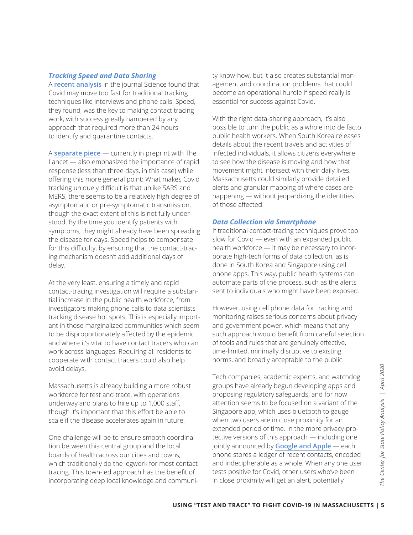#### *Tracking Speed and Data Sharing*

A **[recent analysis](https://science.sciencemag.org/content/early/2020/04/09/science.abb6936)** in the journal Science found that Covid may move too fast for traditional tracking techniques like interviews and phone calls. Speed, they found, was the key to making contact tracing work, with success greatly hampered by any approach that required more than 24 hours to identify and quarantine contacts.

A **[separate piece](https://papers.ssrn.com/sol3/papers.cfm?abstract_id=3551343)** — currently in preprint with The Lancet — also emphasized the importance of rapid response (less than three days, in this case) while offering this more general point: What makes Covid tracking uniquely difficult is that unlike SARS and MERS, there seems to be a relatively high degree of asymptomatic or pre-symptomatic transmission, though the exact extent of this is not fully understood. By the time you identify patients with symptoms, they might already have been spreading the disease for days. Speed helps to compensate for this difficulty, by ensuring that the contact-tracing mechanism doesn't add additional days of delay.

At the very least, ensuring a timely and rapid contact-tracing investigation will require a substantial increase in the public health workforce, from investigators making phone calls to data scientists tracking disease hot spots. This is especially important in those marginalized communities which seem to be disproportionately affected by the epidemic and where it's vital to have contact tracers who can work across languages. Requiring all residents to cooperate with contact tracers could also help avoid delays.

Massachusetts is already building a more robust workforce for test and trace, with operations underway and plans to hire up to 1,000 staff, though it's important that this effort be able to scale if the disease accelerates again in future.

One challenge will be to ensure smooth coordination between this central group and the local boards of health across our cities and towns, which traditionally do the legwork for most contact tracing. This town-led approach has the benefit of incorporating deep local knowledge and community know-how, but it also creates substantial management and coordination problems that could become an operational hurdle if speed really is essential for success against Covid.

With the right data-sharing approach, it's also possible to turn the public as a whole into de facto public health workers. When South Korea releases details about the recent travels and activities of infected individuals, it allows citizens everywhere to see how the disease is moving and how that movement might intersect with their daily lives. Massachusetts could similarly provide detailed alerts and granular mapping of where cases are happening — without jeopardizing the identities of those affected.

#### *Data Collection via Smartphone*

If traditional contact-tracing techniques prove too slow for Covid — even with an expanded public health workforce — it may be necessary to incorporate high-tech forms of data collection, as is done in South Korea and Singapore using cell phone apps. This way, public health systems can automate parts of the process, such as the alerts sent to individuals who might have been exposed.

However, using cell phone data for tracking and monitoring raises serious concerns about privacy and government power, which means that any such approach would benefit from careful selection of tools and rules that are genuinely effective, time-limited, minimally disruptive to existing norms, and broadly acceptable to the public.

Tech companies, academic experts, and watchdog<br>
groups have already begun developing apps and<br>
proposing regulatory safeguards, and for now<br>
aff,<br>
attention seems to be focused on a variant of the<br>
le to<br>
Singapore app, wh Tech companies, academic experts, and watchdog groups have already begun developing apps and proposing regulatory safeguards, and for now attention seems to be focused on a variant of the Singapore app, which uses bluetooth to gauge when two users are in close proximity for an extended period of time. In the more privacy-protective versions of this approach — including one jointly announced by **[Google and Apple](https://www.apple.com/newsroom/2020/04/apple-and-google-partner-on-covid-19-contact-tracing-technology/)** — each phone stores a ledger of recent contacts, encoded and indecipherable as a whole. When any one user tests positive for Covid, other users who've been in close proximity will get an alert, potentially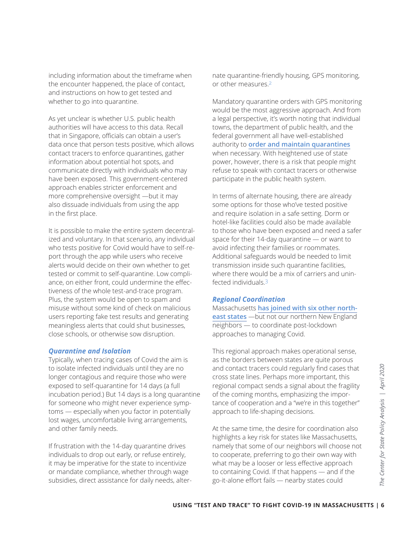including information about the timeframe when the encounter happened, the place of contact, and instructions on how to get tested and whether to go into quarantine.

As yet unclear is whether U.S. public health authorities will have access to this data. Recall that in Singapore, officials can obtain a user's data once that person tests positive, which allows contact tracers to enforce quarantines, gather information about potential hot spots, and communicate directly with individuals who may have been exposed. This government-centered approach enables stricter enforcement and more comprehensive oversight —but it may also dissuade individuals from using the app in the first place.

It is possible to make the entire system decentralized and voluntary. In that scenario, any individual who tests positive for Covid would have to self-report through the app while users who receive alerts would decide on their own whether to get tested or commit to self-quarantine. Low compliance, on either front, could undermine the effectiveness of the whole test-and-trace program. Plus, the system would be open to spam and misuse without some kind of check on malicious users reporting fake test results and generating meaningless alerts that could shut businesses, close schools, or otherwise sow disruption.

#### *Quarantine and Isolation*

Typically, when tracing cases of Covid the aim is to isolate infected individuals until they are no longer contagious and require those who were exposed to self-quarantine for 14 days (a full incubation period.) But 14 days is a long quarantine for someone who might never experience symptoms — especially when you factor in potentially lost wages, uncomfortable living arrangements, and other family needs.

If frustration with the 14-day quarantine drives individuals to drop out early, or refuse entirely, it may be imperative for the state to incentivize or mandate compliance, whether through wage subsidies, direct assistance for daily needs, alternate quarantine-friendly housing, GPS monitoring, or other measures.<sup>2</sup>

Mandatory quarantine orders with GPS monitoring would be the most aggressive approach. And from a legal perspective, it's worth noting that individual towns, the department of public health, and the federal government all have well-established authority to **[order and maintain quarantines](https://www.lawfareblog.com/quarantine-power-primer-light-coronavirus-situation)** when necessary. With heightened use of state power, however, there is a risk that people might refuse to speak with contact tracers or otherwise participate in the public health system.

In terms of alternate housing, there are already some options for those who've tested positive and require isolation in a safe setting. Dorm or hotel-like facilities could also be made available to those who have been exposed and need a safer space for their 14-day quarantine — or want to avoid infecting their families or roommates. Additional safeguards would be needed to limit transmission inside such quarantine facilities, where there would be a mix of carriers and uninfected individuals.3

#### *Regional Coordination*

Massachusetts **[has joined with six other north](https://www.politico.com/states/new-york/albany/story/2020/04/13/northeast-governors-planning-regional-economic-restart-1275385)[east states](https://www.politico.com/states/new-york/albany/story/2020/04/13/northeast-governors-planning-regional-economic-restart-1275385)** —but not our northern New England neighbors — to coordinate post-lockdown approaches to managing Covid.

This regional approach makes operational sense, as the borders between states are quite porous and contact tracers could regularly find cases that cross state lines. Perhaps more important, this regional compact sends a signal about the fragility of the coming months, emphasizing the importance of cooperation and a "we're in this together" approach to life-shaping decisions.

**EXECT AND TRACE TO FIGHT COVID-19 IN MASSACHUSETTS |<br>
USING "TEST AND TRACE" TO FIGHT COVID-19 IN MASSACHUSETTS | 6<br>
USING "TEST AND TRACE" TO FIGHT COVID-19 IN MASSACHUSETTS | 6<br>
USING "TEST AND TRACE" TO FIGHT COVID-19** At the same time, the desire for coordination also highlights a key risk for states like Massachusetts, namely that some of our neighbors will choose not to cooperate, preferring to go their own way with what may be a looser or less effective approach to containing Covid. If that happens — and if the go-it-alone effort fails — nearby states could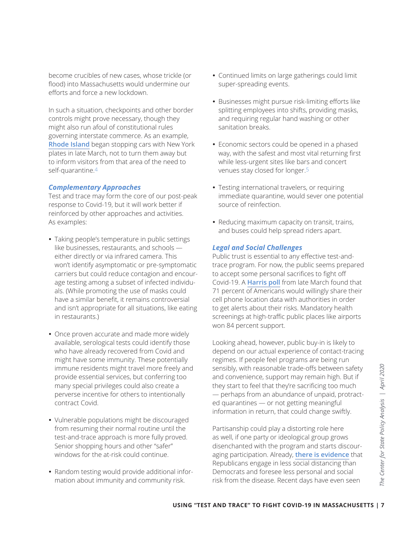become crucibles of new cases, whose trickle (or flood) into Massachusetts would undermine our efforts and force a new lockdown.

In such a situation, checkpoints and other border controls might prove necessary, though they might also run afoul of constitutional rules governing interstate commerce. As an example, **[Rhode Island](https://www.nytimes.com/2020/03/28/us/coronavirus-rhode-island-checkpoint.html)** began stopping cars with New York plates in late March, not to turn them away but to inform visitors from that area of the need to self-quarantine.4

#### *Complementary Approaches*

Test and trace may form the core of our post-peak response to Covid-19, but it will work better if reinforced by other approaches and activities. As examples:

- Taking people's temperature in public settings like businesses, restaurants, and schools either directly or via infrared camera. This won't identify asymptomatic or pre-symptomatic carriers but could reduce contagion and encourage testing among a subset of infected individuals. (While promoting the use of masks could have a similar benefit, it remains controversial and isn't appropriate for all situations, like eating in restaurants.)
- Once proven accurate and made more widely available, serological tests could identify those who have already recovered from Covid and might have some immunity. These potentially immune residents might travel more freely and provide essential services, but conferring too many special privileges could also create a perverse incentive for others to intentionally contract Covid.
- Vulnerable populations might be discouraged from resuming their normal routine until the test-and-trace approach is more fully proved. Senior shopping hours and other "safer" windows for the at-risk could continue.
- Random testing would provide additional information about immunity and community risk.
- Continued limits on large gatherings could limit super-spreading events.
- Businesses might pursue risk-limiting efforts like splitting employees into shifts, providing masks, and requiring regular hand washing or other sanitation breaks.
- Economic sectors could be opened in a phased way, with the safest and most vital returning first while less-urgent sites like bars and concert venues stay closed for longer.5
- Testing international travelers, or requiring immediate quarantine, would sever one potential source of reinfection.
- Reducing maximum capacity on transit, trains, and buses could help spread riders apart.

#### *Legal and Social Challenges*

Public trust is essential to any effective test-andtrace program. For now, the public seems prepared to accept some personal sacrifices to fight off Covid-19. A **[Harris poll](https://www.wsj.com/articles/americans-favor-aggressive-coronavirus-measures-poll-finds-11585687911)** from late March found that 71 percent of Americans would willingly share their cell phone location data with authorities in order to get alerts about their risks. Mandatory health screenings at high-traffic public places like airports won 84 percent support.

Looking ahead, however, public buy-in is likely to depend on our actual experience of contact-tracing regimes. If people feel programs are being run sensibly, with reasonable trade-offs between safety and convenience, support may remain high. But if they start to feel that they're sacrificing too much — perhaps from an abundance of unpaid, protracted quarantines — or not getting meaningful information in return, that could change swiftly.

**Example 12**<br> **USING "TEST AND TRACE" TO FIGHT COVID-19 IN MASSACHUSETTS | 7<br>
<b>USING "TEST AND TRACE" TO FIGHT COVID-19 IN MASSACHUSETTS** | 7<br> **USING "TEST AND TRACE" TO FIGHT COVID-19 IN MASSACHUSETTS** | 7<br> **USING "TEST A** Partisanship could play a distorting role here as well, if one party or ideological group grows disenchanted with the program and starts discouraging participation. Already, **[there is evidence](http://web.stanford.edu/~gentzkow/research/social_distancing.pdf)** that Republicans engage in less social distancing than Democrats and foresee less personal and social risk from the disease. Recent days have even seen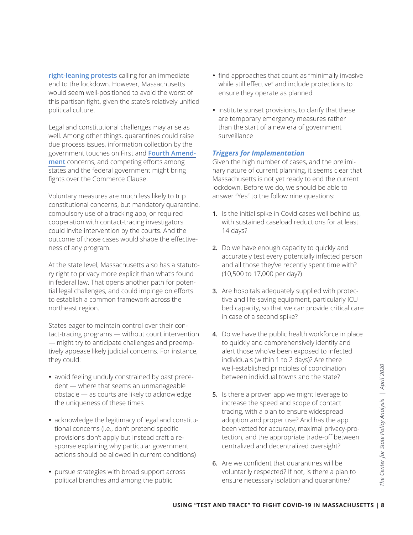**[right-leaning protests](https://www.npr.org/2020/04/18/837776218/across-america-frustrated-protesters-rally-to-reopen-the-economy)** calling for an immediate end to the lockdown. However, Massachusetts would seem well-positioned to avoid the worst of this partisan fight, given the state's relatively unified political culture.

Legal and constitutional challenges may arise as well. Among other things, quarantines could raise due process issues, information collection by the government touches on First and **[Fourth Amend](https://www.lawfareblog.com/disease-surveillance-and-fourth-amendment)[ment](https://www.lawfareblog.com/disease-surveillance-and-fourth-amendment)** concerns, and competing efforts among states and the federal government might bring fights over the Commerce Clause.

Voluntary measures are much less likely to trip constitutional concerns, but mandatory quarantine, compulsory use of a tracking app, or required cooperation with contact-tracing investigators could invite intervention by the courts. And the outcome of those cases would shape the effectiveness of any program.

At the state level, Massachusetts also has a statutory right to privacy more explicit than what's found in federal law. That opens another path for potential legal challenges, and could impinge on efforts to establish a common framework across the northeast region.

States eager to maintain control over their contact-tracing programs — without court intervention — might try to anticipate challenges and preemptively appease likely judicial concerns. For instance, they could:

- avoid feeling unduly constrained by past precedent — where that seems an unmanageable obstacle — as courts are likely to acknowledge the uniqueness of these times
- acknowledge the legitimacy of legal and constitutional concerns (i.e., don't pretend specific provisions don't apply but instead craft a response explaining why particular government actions should be allowed in current conditions)
- pursue strategies with broad support across political branches and among the public
- find approaches that count as "minimally invasive while still effective" and include protections to ensure they operate as planned
- institute sunset provisions, to clarify that these are temporary emergency measures rather than the start of a new era of government surveillance

#### *Triggers for Implementation*

Given the high number of cases, and the preliminary nature of current planning, it seems clear that Massachusetts is not yet ready to end the current lockdown. Before we do, we should be able to answer "Yes" to the follow nine questions:

- **1.** Is the initial spike in Covid cases well behind us, with sustained caseload reductions for at least 14 days?
- **2.** Do we have enough capacity to quickly and accurately test every potentially infected person and all those they've recently spent time with? (10,500 to 17,000 per day?)
- **3.** Are hospitals adequately supplied with protective and life-saving equipment, particularly ICU bed capacity, so that we can provide critical care in case of a second spike?
- **4.** Do we have the public health workforce in place to quickly and comprehensively identify and alert those who've been exposed to infected individuals (within 1 to 2 days)? Are there well-established principles of coordination between individual towns and the state?
- Well-established principles of coordination<br>
able<br>
able<br>
vledge<br> **5.** Is there a proven app we might leverage to<br>
increase the speed and scope of contact<br>
tracing, with a plan to ensure widespread<br>
constitu-<br>
adoption and **5.** Is there a proven app we might leverage to increase the speed and scope of contact tracing, with a plan to ensure widespread adoption and proper use? And has the app been vetted for accuracy, maximal privacy-protection, and the appropriate trade-off between centralized and decentralized oversight?
	- **6.** Are we confident that quarantines will be voluntarily respected? If not, is there a plan to ensure necessary isolation and quarantine?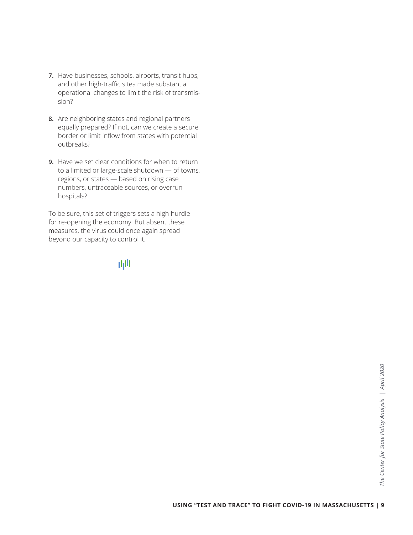- **7.** Have businesses, schools, airports, transit hubs, and other high-traffic sites made substantial operational changes to limit the risk of transmission?
- **8.** Are neighboring states and regional partners equally prepared? If not, can we create a secure border or limit inflow from states with potential outbreaks?
- **9.** Have we set clear conditions for when to return to a limited or large-scale shutdown — of towns, regions, or states — based on rising case numbers, untraceable sources, or overrun hospitals?

To be sure, this set of triggers sets a high hurdle for re-opening the economy. But absent these measures, the virus could once again spread beyond our capacity to control it.

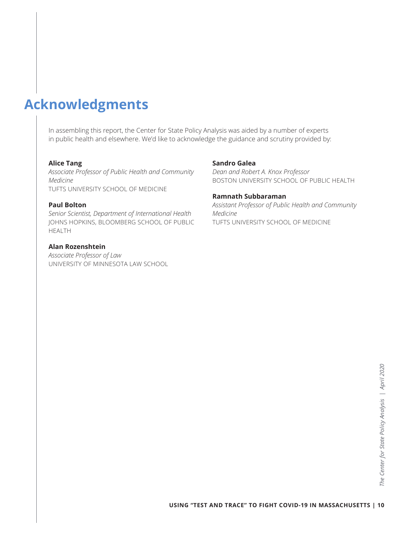# **Acknowledgments**

In assembling this report, the Center for State Policy Analysis was aided by a number of experts in public health and elsewhere. We'd like to acknowledge the guidance and scrutiny provided by:

#### **Alice Tang**

*Associate Professor of Public Health and Community Medicine*  TUFTS UNIVERSITY SCHOOL OF MEDICINE

#### **Paul Bolton**

*Senior Scientist, Department of International Health* JOHNS HOPKINS, BLOOMBERG SCHOOL OF PUBLIC HEALTH

#### **Alan Rozenshtein**

*Associate Professor of Law* UNIVERSITY OF MINNESOTA LAW SCHOOL

#### **Sandro Galea**

*Dean and Robert A. Knox Professor* BOSTON UNIVERSITY SCHOOL OF PUBLIC HEALTH

#### **Ramnath Subbaraman**

*Assistant Professor of Public Health and Community Medicine* TUFTS UNIVERSITY SCHOOL OF MEDICINE